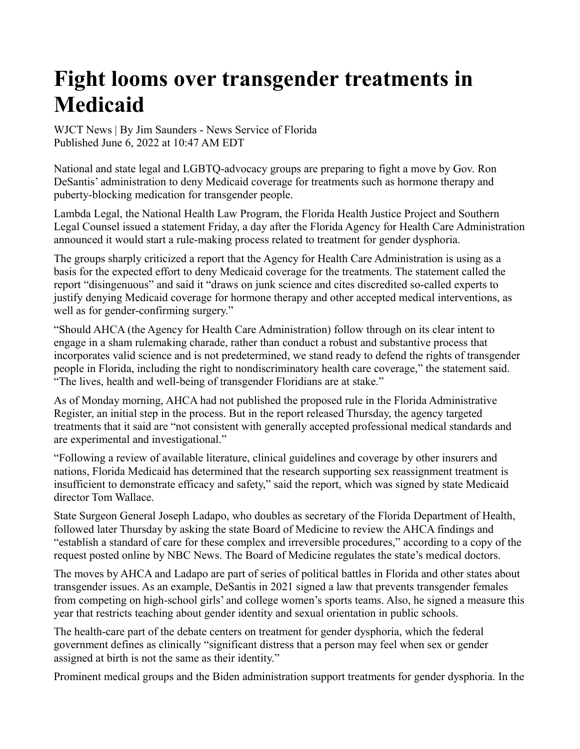## **Fight looms over transgender treatments in Medicaid**

WJCT News | By Jim Saunders - News Service of Florida Published June 6, 2022 at 10:47 AM EDT

National and state legal and LGBTQ-advocacy groups are preparing to fight a move by Gov. Ron DeSantis' administration to deny Medicaid coverage for treatments such as hormone therapy and puberty-blocking medication for transgender people.

Lambda Legal, the National Health Law Program, the Florida Health Justice Project and Southern Legal Counsel issued a statement Friday, a day after the Florida Agency for Health Care Administration announced it would start a rule-making process related to treatment for gender dysphoria.

The groups sharply criticized a report that the Agency for Health Care Administration is using as a basis for the expected effort to deny Medicaid coverage for the treatments. The statement called the report "disingenuous" and said it "draws on junk science and cites discredited so-called experts to justify denying Medicaid coverage for hormone therapy and other accepted medical interventions, as well as for gender-confirming surgery."

"Should AHCA (the Agency for Health Care Administration) follow through on its clear intent to engage in a sham rulemaking charade, rather than conduct a robust and substantive process that incorporates valid science and is not predetermined, we stand ready to defend the rights of transgender people in Florida, including the right to nondiscriminatory health care coverage," the statement said. "The lives, health and well-being of transgender Floridians are at stake."

As of Monday morning, AHCA had not published the proposed rule in the Florida Administrative Register, an initial step in the process. But in the report released Thursday, the agency targeted treatments that it said are "not consistent with generally accepted professional medical standards and are experimental and investigational."

"Following a review of available literature, clinical guidelines and coverage by other insurers and nations, Florida Medicaid has determined that the research supporting sex reassignment treatment is insufficient to demonstrate efficacy and safety," said the report, which was signed by state Medicaid director Tom Wallace.

State Surgeon General Joseph Ladapo, who doubles as secretary of the Florida Department of Health, followed later Thursday by asking the state Board of Medicine to review the AHCA findings and "establish a standard of care for these complex and irreversible procedures," according to a copy of the request posted online by NBC News. The Board of Medicine regulates the state's medical doctors.

The moves by AHCA and Ladapo are part of series of political battles in Florida and other states about transgender issues. As an example, DeSantis in 2021 signed a law that prevents transgender females from competing on high-school girls' and college women's sports teams. Also, he signed a measure this year that restricts teaching about gender identity and sexual orientation in public schools.

The health-care part of the debate centers on treatment for gender dysphoria, which the federal government defines as clinically "significant distress that a person may feel when sex or gender assigned at birth is not the same as their identity."

Prominent medical groups and the Biden administration support treatments for gender dysphoria. In the